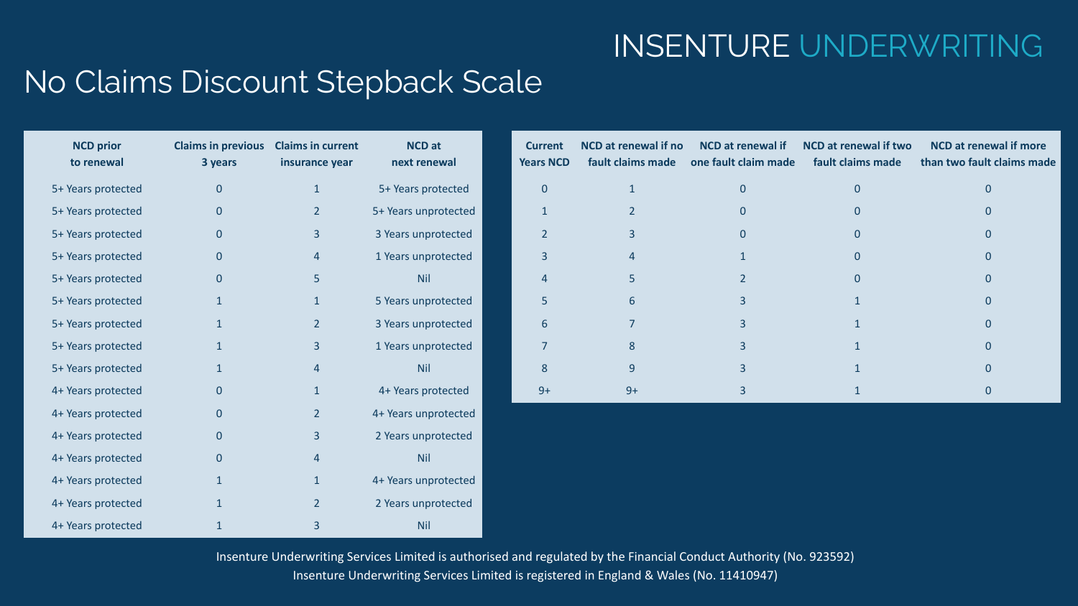## INSENTURE UNDERWRITING

#### No Claims Discount Stepback Scale

| <b>NCD</b> prior<br>to renewal | <b>Claims in previous</b><br>3 years | <b>Claims in current</b><br>insurance year | <b>NCD</b> at<br>next renewal | <b>Current</b><br><b>Years NCD</b> | NCD at renewal if no<br>fault claims made | <b>NCD</b> at renewal if<br>one fault claim made | NCD at renewal if two<br>fault claims made | <b>NCD</b> at renewal if more<br>than two fault claims made |
|--------------------------------|--------------------------------------|--------------------------------------------|-------------------------------|------------------------------------|-------------------------------------------|--------------------------------------------------|--------------------------------------------|-------------------------------------------------------------|
| 5+ Years protected             | $\mathbf{0}$                         | $\mathbf{1}$                               | 5+ Years protected            | $\mathbf{0}$                       | $\mathbf{1}$                              | $\mathbf{0}$                                     | $\overline{0}$                             | $\mathbf{0}$                                                |
| 5+ Years protected             | $\mathbf{0}$                         | $\overline{2}$                             | 5+ Years unprotected          |                                    | $\overline{2}$                            | $\mathbf{0}$                                     | $\mathbf{0}$                               | $\Omega$                                                    |
| 5+ Years protected             | $\mathbf{0}$                         | $\overline{3}$                             | 3 Years unprotected           | $\overline{2}$                     | $\overline{3}$                            | $\Omega$                                         | $\Omega$                                   | $\Omega$                                                    |
| 5+ Years protected             | $\mathbf{0}$                         | $\overline{4}$                             | 1 Years unprotected           | 3                                  |                                           |                                                  | $\overline{0}$                             | $\Omega$                                                    |
| 5+ Years protected             | $\mathbf{0}$                         | 5                                          | Nil                           |                                    | 5                                         | $\overline{\phantom{a}}$                         | $\Omega$                                   | $\Omega$                                                    |
| 5+ Years protected             |                                      | 1                                          | 5 Years unprotected           | 5                                  | 6                                         | 3                                                |                                            | $\Omega$                                                    |
| 5+ Years protected             | $\mathbf{1}$                         | $\overline{2}$                             | 3 Years unprotected           | 6                                  |                                           | $\overline{3}$                                   |                                            | $\Omega$                                                    |
| 5+ Years protected             | $\mathbf{1}$                         | $\overline{3}$                             | 1 Years unprotected           |                                    | 8                                         | $\overline{3}$                                   |                                            | $\Omega$                                                    |
| 5+ Years protected             |                                      | 4                                          | Nil                           | 8                                  | 9                                         | $\overline{\mathbf{3}}$                          |                                            | $\Omega$                                                    |
| 4+ Years protected             | $\mathbf{0}$                         | $\mathbf{1}$                               | 4+ Years protected            | $9+$                               | $9+$                                      | $\overline{3}$                                   |                                            | $\mathbf{0}$                                                |
| 4+ Years protected             | $\mathbf{0}$                         | $\overline{2}$                             | 4+ Years unprotected          |                                    |                                           |                                                  |                                            |                                                             |
| 4+ Years protected             | $\mathbf{0}$                         | 3                                          | 2 Years unprotected           |                                    |                                           |                                                  |                                            |                                                             |
| 4+ Years protected             | $\mathbf{0}$                         | 4                                          | Nil                           |                                    |                                           |                                                  |                                            |                                                             |
| 4+ Years protected             |                                      | $\mathbf{1}$                               | 4+ Years unprotected          |                                    |                                           |                                                  |                                            |                                                             |
| 4+ Years protected             |                                      | $\overline{2}$                             | 2 Years unprotected           |                                    |                                           |                                                  |                                            |                                                             |
| 4+ Years protected             |                                      |                                            | Nil                           |                                    |                                           |                                                  |                                            |                                                             |

Insenture Underwriting Services Limited is authorised and regulated by the Financial Conduct Authority (No. 923592) Insenture Underwriting Services Limited is registered in England & Wales (No. 11410947)